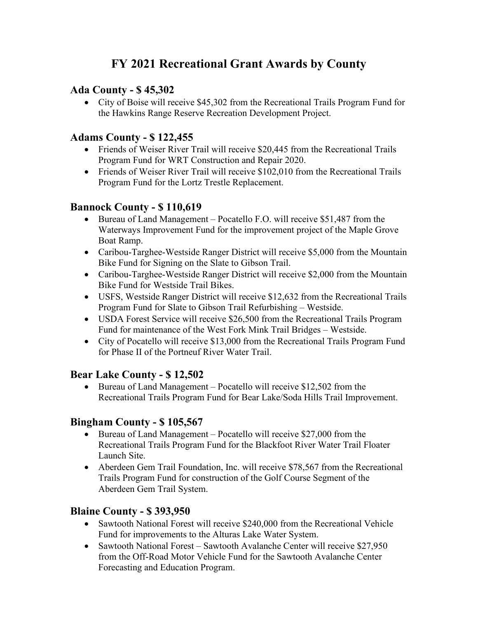# **FY 2021 Recreational Grant Awards by County**

### **Ada County - \$ 45,302**

• City of Boise will receive \$45,302 from the Recreational Trails Program Fund for the Hawkins Range Reserve Recreation Development Project.

### **Adams County - \$ 122,455**

- Friends of Weiser River Trail will receive \$20,445 from the Recreational Trails Program Fund for WRT Construction and Repair 2020.
- Friends of Weiser River Trail will receive \$102,010 from the Recreational Trails Program Fund for the Lortz Trestle Replacement.

#### **Bannock County - \$ 110,619**

- Bureau of Land Management Pocatello F.O. will receive \$51,487 from the Waterways Improvement Fund for the improvement project of the Maple Grove Boat Ramp.
- Caribou-Targhee-Westside Ranger District will receive \$5,000 from the Mountain Bike Fund for Signing on the Slate to Gibson Trail.
- Caribou-Targhee-Westside Ranger District will receive \$2,000 from the Mountain Bike Fund for Westside Trail Bikes.
- USFS, Westside Ranger District will receive \$12,632 from the Recreational Trails Program Fund for Slate to Gibson Trail Refurbishing – Westside.
- USDA Forest Service will receive \$26,500 from the Recreational Trails Program Fund for maintenance of the West Fork Mink Trail Bridges – Westside.
- City of Pocatello will receive \$13,000 from the Recreational Trails Program Fund for Phase II of the Portneuf River Water Trail.

#### **Bear Lake County - \$ 12,502**

• Bureau of Land Management – Pocatello will receive \$12,502 from the Recreational Trails Program Fund for Bear Lake/Soda Hills Trail Improvement.

# **Bingham County - \$ 105,567**

- Bureau of Land Management Pocatello will receive \$27,000 from the Recreational Trails Program Fund for the Blackfoot River Water Trail Floater Launch Site.
- Aberdeen Gem Trail Foundation, Inc. will receive \$78,567 from the Recreational Trails Program Fund for construction of the Golf Course Segment of the Aberdeen Gem Trail System.

#### **Blaine County - \$ 393,950**

- Sawtooth National Forest will receive \$240,000 from the Recreational Vehicle Fund for improvements to the Alturas Lake Water System.
- Sawtooth National Forest Sawtooth Avalanche Center will receive \$27,950 from the Off-Road Motor Vehicle Fund for the Sawtooth Avalanche Center Forecasting and Education Program.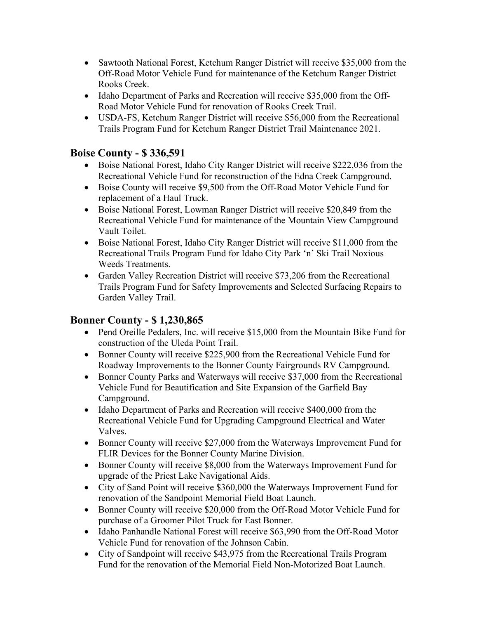- Sawtooth National Forest, Ketchum Ranger District will receive \$35,000 from the Off-Road Motor Vehicle Fund for maintenance of the Ketchum Ranger District Rooks Creek.
- Idaho Department of Parks and Recreation will receive \$35,000 from the Off-Road Motor Vehicle Fund for renovation of Rooks Creek Trail.
- USDA-FS, Ketchum Ranger District will receive \$56,000 from the Recreational Trails Program Fund for Ketchum Ranger District Trail Maintenance 2021.

### **Boise County - \$ 336,591**

- Boise National Forest, Idaho City Ranger District will receive \$222,036 from the Recreational Vehicle Fund for reconstruction of the Edna Creek Campground.
- Boise County will receive \$9,500 from the Off-Road Motor Vehicle Fund for replacement of a Haul Truck.
- Boise National Forest, Lowman Ranger District will receive \$20,849 from the Recreational Vehicle Fund for maintenance of the Mountain View Campground Vault Toilet.
- Boise National Forest, Idaho City Ranger District will receive \$11,000 from the Recreational Trails Program Fund for Idaho City Park 'n' Ski Trail Noxious Weeds Treatments.
- Garden Valley Recreation District will receive \$73,206 from the Recreational Trails Program Fund for Safety Improvements and Selected Surfacing Repairs to Garden Valley Trail.

# **Bonner County - \$ 1,230,865**

- Pend Oreille Pedalers, Inc. will receive \$15,000 from the Mountain Bike Fund for construction of the Uleda Point Trail.
- Bonner County will receive \$225,900 from the Recreational Vehicle Fund for Roadway Improvements to the Bonner County Fairgrounds RV Campground.
- Bonner County Parks and Waterways will receive \$37,000 from the Recreational Vehicle Fund for Beautification and Site Expansion of the Garfield Bay Campground.
- Idaho Department of Parks and Recreation will receive \$400,000 from the Recreational Vehicle Fund for Upgrading Campground Electrical and Water Valves.
- Bonner County will receive \$27,000 from the Waterways Improvement Fund for FLIR Devices for the Bonner County Marine Division.
- Bonner County will receive \$8,000 from the Waterways Improvement Fund for upgrade of the Priest Lake Navigational Aids.
- City of Sand Point will receive \$360,000 the Waterways Improvement Fund for renovation of the Sandpoint Memorial Field Boat Launch.
- Bonner County will receive \$20,000 from the Off-Road Motor Vehicle Fund for purchase of a Groomer Pilot Truck for East Bonner.
- Idaho Panhandle National Forest will receive \$63,990 from the Off-Road Motor Vehicle Fund for renovation of the Johnson Cabin.
- City of Sandpoint will receive \$43,975 from the Recreational Trails Program Fund for the renovation of the Memorial Field Non-Motorized Boat Launch.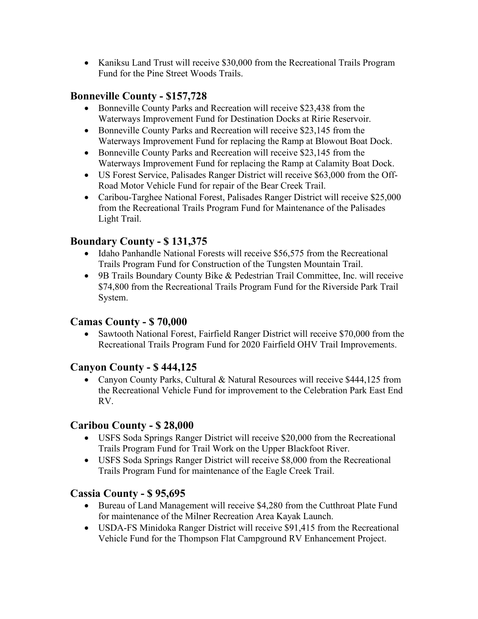• Kaniksu Land Trust will receive \$30,000 from the Recreational Trails Program Fund for the Pine Street Woods Trails.

### **Bonneville County - \$157,728**

- Bonneville County Parks and Recreation will receive \$23,438 from the Waterways Improvement Fund for Destination Docks at Ririe Reservoir.
- Bonneville County Parks and Recreation will receive \$23,145 from the Waterways Improvement Fund for replacing the Ramp at Blowout Boat Dock.
- Bonneville County Parks and Recreation will receive \$23,145 from the Waterways Improvement Fund for replacing the Ramp at Calamity Boat Dock.
- US Forest Service, Palisades Ranger District will receive \$63,000 from the Off-Road Motor Vehicle Fund for repair of the Bear Creek Trail.
- Caribou-Targhee National Forest, Palisades Ranger District will receive \$25,000 from the Recreational Trails Program Fund for Maintenance of the Palisades Light Trail.

### **Boundary County - \$ 131,375**

- Idaho Panhandle National Forests will receive \$56,575 from the Recreational Trails Program Fund for Construction of the Tungsten Mountain Trail.
- 9B Trails Boundary County Bike & Pedestrian Trail Committee, Inc. will receive \$74,800 from the Recreational Trails Program Fund for the Riverside Park Trail System.

#### **Camas County - \$ 70,000**

• Sawtooth National Forest, Fairfield Ranger District will receive \$70,000 from the Recreational Trails Program Fund for 2020 Fairfield OHV Trail Improvements.

#### **Canyon County - \$ 444,125**

• Canyon County Parks, Cultural & Natural Resources will receive \$444,125 from the Recreational Vehicle Fund for improvement to the Celebration Park East End RV.

#### **Caribou County - \$ 28,000**

- USFS Soda Springs Ranger District will receive \$20,000 from the Recreational Trails Program Fund for Trail Work on the Upper Blackfoot River.
- USFS Soda Springs Ranger District will receive \$8,000 from the Recreational Trails Program Fund for maintenance of the Eagle Creek Trail.

#### **Cassia County - \$ 95,695**

- Bureau of Land Management will receive \$4,280 from the Cutthroat Plate Fund for maintenance of the Milner Recreation Area Kayak Launch.
- USDA-FS Minidoka Ranger District will receive \$91,415 from the Recreational Vehicle Fund for the Thompson Flat Campground RV Enhancement Project.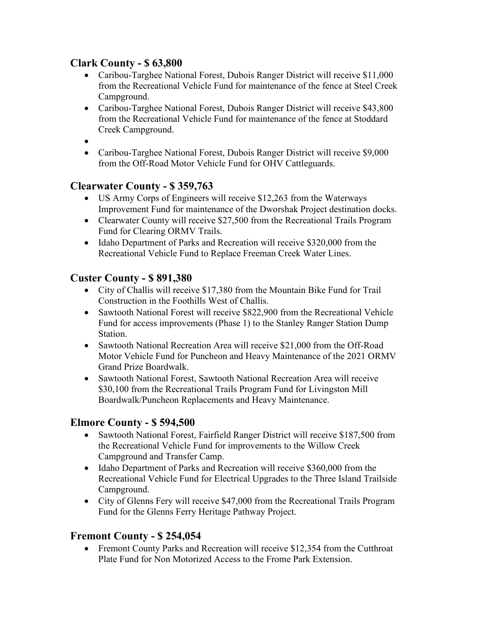### **Clark County - \$ 63,800**

- Caribou-Targhee National Forest, Dubois Ranger District will receive \$11,000 from the Recreational Vehicle Fund for maintenance of the fence at Steel Creek Campground.
- Caribou-Targhee National Forest, Dubois Ranger District will receive \$43,800 from the Recreational Vehicle Fund for maintenance of the fence at Stoddard Creek Campground.
- $\bullet$
- Caribou-Targhee National Forest, Dubois Ranger District will receive \$9,000 from the Off-Road Motor Vehicle Fund for OHV Cattleguards.

# **Clearwater County - \$ 359,763**

- US Army Corps of Engineers will receive \$12,263 from the Waterways Improvement Fund for maintenance of the Dworshak Project destination docks.
- Clearwater County will receive \$27,500 from the Recreational Trails Program Fund for Clearing ORMV Trails.
- Idaho Department of Parks and Recreation will receive \$320,000 from the Recreational Vehicle Fund to Replace Freeman Creek Water Lines.

# **Custer County - \$ 891,380**

- City of Challis will receive \$17,380 from the Mountain Bike Fund for Trail Construction in the Foothills West of Challis.
- Sawtooth National Forest will receive \$822,900 from the Recreational Vehicle Fund for access improvements (Phase 1) to the Stanley Ranger Station Dump Station.
- Sawtooth National Recreation Area will receive \$21,000 from the Off-Road Motor Vehicle Fund for Puncheon and Heavy Maintenance of the 2021 ORMV Grand Prize Boardwalk.
- Sawtooth National Forest, Sawtooth National Recreation Area will receive \$30,100 from the Recreational Trails Program Fund for Livingston Mill Boardwalk/Puncheon Replacements and Heavy Maintenance.

# **Elmore County - \$ 594,500**

- Sawtooth National Forest, Fairfield Ranger District will receive \$187,500 from the Recreational Vehicle Fund for improvements to the Willow Creek Campground and Transfer Camp.
- Idaho Department of Parks and Recreation will receive \$360,000 from the Recreational Vehicle Fund for Electrical Upgrades to the Three Island Trailside Campground.
- City of Glenns Fery will receive \$47,000 from the Recreational Trails Program Fund for the Glenns Ferry Heritage Pathway Project.

# **Fremont County - \$ 254,054**

• Fremont County Parks and Recreation will receive \$12,354 from the Cutthroat Plate Fund for Non Motorized Access to the Frome Park Extension.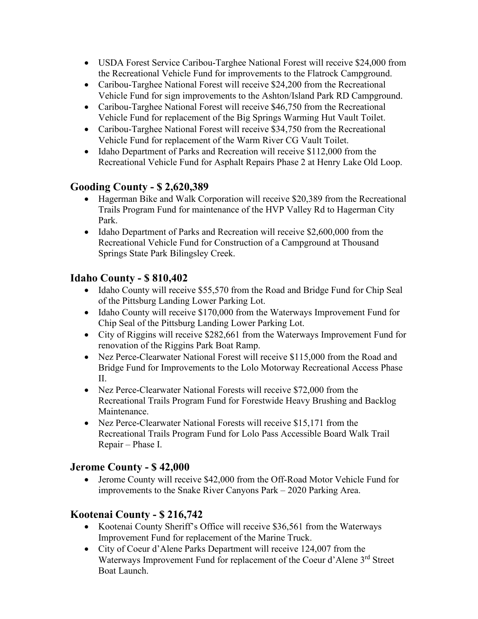- USDA Forest Service Caribou-Targhee National Forest will receive \$24,000 from the Recreational Vehicle Fund for improvements to the Flatrock Campground.
- Caribou-Targhee National Forest will receive \$24,200 from the Recreational Vehicle Fund for sign improvements to the Ashton/Island Park RD Campground.
- Caribou-Targhee National Forest will receive \$46,750 from the Recreational Vehicle Fund for replacement of the Big Springs Warming Hut Vault Toilet.
- Caribou-Targhee National Forest will receive \$34,750 from the Recreational Vehicle Fund for replacement of the Warm River CG Vault Toilet.
- Idaho Department of Parks and Recreation will receive \$112,000 from the Recreational Vehicle Fund for Asphalt Repairs Phase 2 at Henry Lake Old Loop.

### **Gooding County - \$ 2,620,389**

- Hagerman Bike and Walk Corporation will receive \$20,389 from the Recreational Trails Program Fund for maintenance of the HVP Valley Rd to Hagerman City Park.
- Idaho Department of Parks and Recreation will receive \$2,600,000 from the Recreational Vehicle Fund for Construction of a Campground at Thousand Springs State Park Bilingsley Creek.

#### **Idaho County - \$ 810,402**

- Idaho County will receive \$55,570 from the Road and Bridge Fund for Chip Seal of the Pittsburg Landing Lower Parking Lot.
- Idaho County will receive \$170,000 from the Waterways Improvement Fund for Chip Seal of the Pittsburg Landing Lower Parking Lot.
- City of Riggins will receive \$282,661 from the Waterways Improvement Fund for renovation of the Riggins Park Boat Ramp.
- Nez Perce-Clearwater National Forest will receive \$115,000 from the Road and Bridge Fund for Improvements to the Lolo Motorway Recreational Access Phase II.
- Nez Perce-Clearwater National Forests will receive \$72,000 from the Recreational Trails Program Fund for Forestwide Heavy Brushing and Backlog Maintenance.
- Nez Perce-Clearwater National Forests will receive \$15,171 from the Recreational Trails Program Fund for Lolo Pass Accessible Board Walk Trail Repair – Phase I.

#### **Jerome County - \$ 42,000**

• Jerome County will receive \$42,000 from the Off-Road Motor Vehicle Fund for improvements to the Snake River Canyons Park – 2020 Parking Area.

# **Kootenai County - \$ 216,742**

- Kootenai County Sheriff's Office will receive \$36,561 from the Waterways Improvement Fund for replacement of the Marine Truck.
- City of Coeur d'Alene Parks Department will receive 124,007 from the Waterways Improvement Fund for replacement of the Coeur d'Alene 3<sup>rd</sup> Street Boat Launch.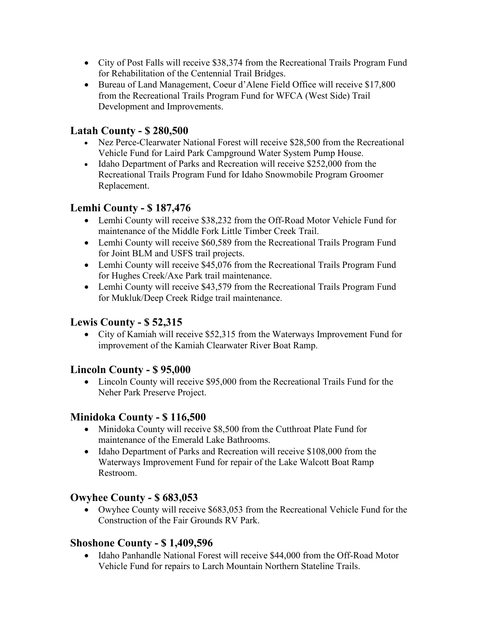- City of Post Falls will receive \$38,374 from the Recreational Trails Program Fund for Rehabilitation of the Centennial Trail Bridges.
- Bureau of Land Management, Coeur d'Alene Field Office will receive \$17,800 from the Recreational Trails Program Fund for WFCA (West Side) Trail Development and Improvements.

### **Latah County - \$ 280,500**

- Nez Perce-Clearwater National Forest will receive \$28,500 from the Recreational Vehicle Fund for Laird Park Campground Water System Pump House.
- Idaho Department of Parks and Recreation will receive \$252,000 from the Recreational Trails Program Fund for Idaho Snowmobile Program Groomer Replacement.

### **Lemhi County - \$ 187,476**

- Lemhi County will receive \$38,232 from the Off-Road Motor Vehicle Fund for maintenance of the Middle Fork Little Timber Creek Trail.
- Lemhi County will receive \$60,589 from the Recreational Trails Program Fund for Joint BLM and USFS trail projects.
- Lemhi County will receive \$45,076 from the Recreational Trails Program Fund for Hughes Creek/Axe Park trail maintenance.
- Lemhi County will receive \$43,579 from the Recreational Trails Program Fund for Mukluk/Deep Creek Ridge trail maintenance.

#### **Lewis County - \$ 52,315**

• City of Kamiah will receive \$52,315 from the Waterways Improvement Fund for improvement of the Kamiah Clearwater River Boat Ramp.

#### **Lincoln County - \$ 95,000**

• Lincoln County will receive \$95,000 from the Recreational Trails Fund for the Neher Park Preserve Project.

# **Minidoka County - \$ 116,500**

- Minidoka County will receive \$8,500 from the Cutthroat Plate Fund for maintenance of the Emerald Lake Bathrooms.
- Idaho Department of Parks and Recreation will receive \$108,000 from the Waterways Improvement Fund for repair of the Lake Walcott Boat Ramp Restroom.

# **Owyhee County - \$ 683,053**

• Owyhee County will receive \$683,053 from the Recreational Vehicle Fund for the Construction of the Fair Grounds RV Park.

# **Shoshone County - \$ 1,409,596**

• Idaho Panhandle National Forest will receive \$44,000 from the Off-Road Motor Vehicle Fund for repairs to Larch Mountain Northern Stateline Trails.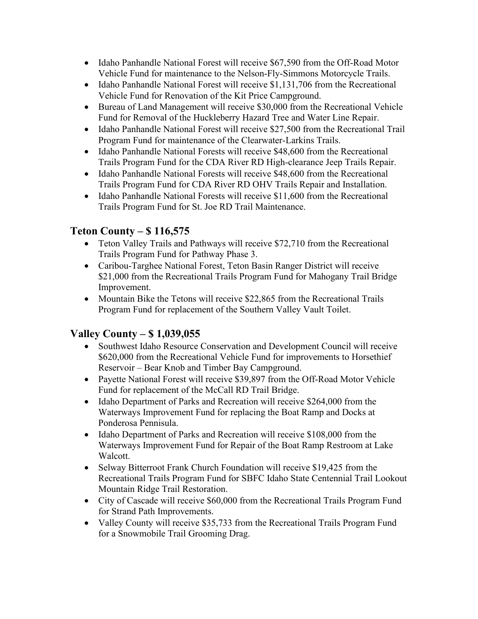- Idaho Panhandle National Forest will receive \$67,590 from the Off-Road Motor Vehicle Fund for maintenance to the Nelson-Fly-Simmons Motorcycle Trails.
- Idaho Panhandle National Forest will receive \$1,131,706 from the Recreational Vehicle Fund for Renovation of the Kit Price Campground.
- Bureau of Land Management will receive \$30,000 from the Recreational Vehicle Fund for Removal of the Huckleberry Hazard Tree and Water Line Repair.
- Idaho Panhandle National Forest will receive \$27,500 from the Recreational Trail Program Fund for maintenance of the Clearwater-Larkins Trails.
- Idaho Panhandle National Forests will receive \$48,600 from the Recreational Trails Program Fund for the CDA River RD High-clearance Jeep Trails Repair.
- Idaho Panhandle National Forests will receive \$48,600 from the Recreational Trails Program Fund for CDA River RD OHV Trails Repair and Installation.
- Idaho Panhandle National Forests will receive \$11,600 from the Recreational Trails Program Fund for St. Joe RD Trail Maintenance.

# **Teton County – \$ 116,575**

- Teton Valley Trails and Pathways will receive \$72,710 from the Recreational Trails Program Fund for Pathway Phase 3.
- Caribou-Targhee National Forest, Teton Basin Ranger District will receive \$21,000 from the Recreational Trails Program Fund for Mahogany Trail Bridge Improvement.
- Mountain Bike the Tetons will receive \$22,865 from the Recreational Trails Program Fund for replacement of the Southern Valley Vault Toilet.

# **Valley County – \$ 1,039,055**

- Southwest Idaho Resource Conservation and Development Council will receive \$620,000 from the Recreational Vehicle Fund for improvements to Horsethief Reservoir – Bear Knob and Timber Bay Campground.
- Payette National Forest will receive \$39,897 from the Off-Road Motor Vehicle Fund for replacement of the McCall RD Trail Bridge.
- Idaho Department of Parks and Recreation will receive \$264,000 from the Waterways Improvement Fund for replacing the Boat Ramp and Docks at Ponderosa Pennisula.
- Idaho Department of Parks and Recreation will receive \$108,000 from the Waterways Improvement Fund for Repair of the Boat Ramp Restroom at Lake Walcott.
- Selway Bitterroot Frank Church Foundation will receive \$19,425 from the Recreational Trails Program Fund for SBFC Idaho State Centennial Trail Lookout Mountain Ridge Trail Restoration.
- City of Cascade will receive \$60,000 from the Recreational Trails Program Fund for Strand Path Improvements.
- Valley County will receive \$35,733 from the Recreational Trails Program Fund for a Snowmobile Trail Grooming Drag.